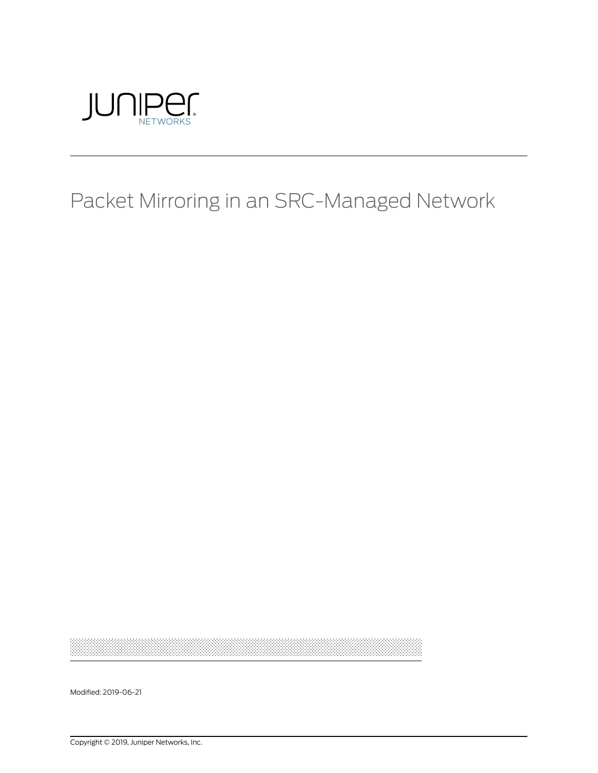

## Packet Mirroring in an SRC-Managed Network

Modified: 2019-06-21

Copyright © 2019, Juniper Networks, Inc.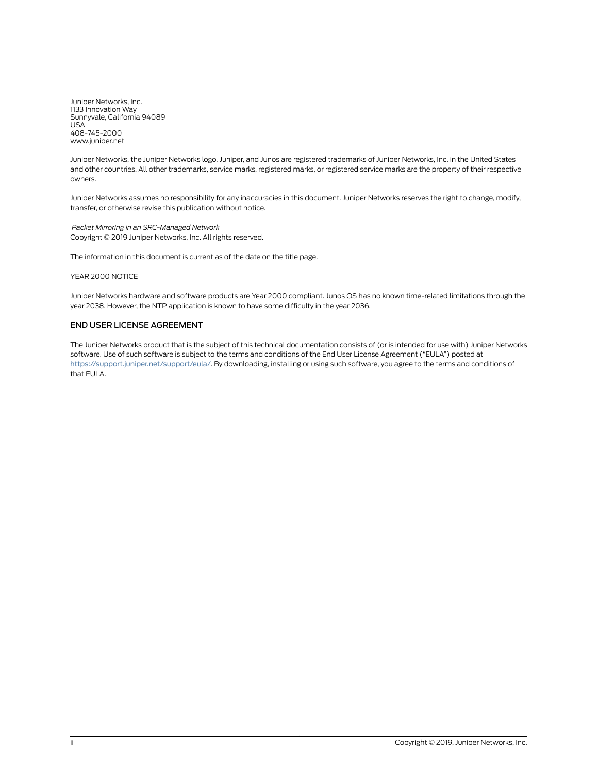Juniper Networks, Inc. 1133 Innovation Way Sunnyvale, California 94089 USA 408-745-2000 www.juniper.net

Juniper Networks, the Juniper Networks logo, Juniper, and Junos are registered trademarks of Juniper Networks, Inc. in the United States and other countries. All other trademarks, service marks, registered marks, or registered service marks are the property of their respective owners.

Juniper Networks assumes no responsibility for any inaccuracies in this document. Juniper Networks reserves the right to change, modify, transfer, or otherwise revise this publication without notice.

*Packet Mirroring in an SRC-Managed Network* Copyright © 2019 Juniper Networks, Inc. All rights reserved.

The information in this document is current as of the date on the title page.

YEAR 2000 NOTICE

Juniper Networks hardware and software products are Year 2000 compliant. Junos OS has no known time-related limitations through the year 2038. However, the NTP application is known to have some difficulty in the year 2036.

#### END USER LICENSE AGREEMENT

The Juniper Networks product that is the subject of this technical documentation consists of (or is intended for use with) Juniper Networks software. Use of such software is subject to the terms and conditions of the End User License Agreement ("EULA") posted at <https://support.juniper.net/support/eula/>. By downloading, installing or using such software, you agree to the terms and conditions of that EULA.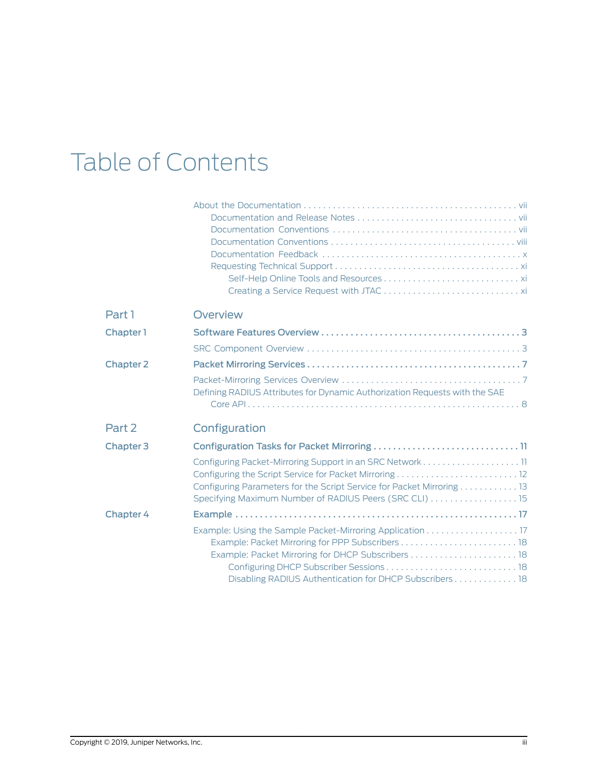# Table of Contents

| Part 1           | <b>Overview</b>                                                            |
|------------------|----------------------------------------------------------------------------|
| Chapter 1        |                                                                            |
|                  |                                                                            |
| <b>Chapter 2</b> |                                                                            |
|                  | Defining RADIUS Attributes for Dynamic Authorization Requests with the SAE |
|                  |                                                                            |
| Part 2           | Configuration                                                              |
| Chapter 3        |                                                                            |
|                  |                                                                            |
|                  |                                                                            |
|                  | Configuring Parameters for the Script Service for Packet Mirroring 13      |
|                  | Specifying Maximum Number of RADIUS Peers (SRC CLI)  15                    |
| <b>Chapter 4</b> |                                                                            |
|                  | Example: Using the Sample Packet-Mirroring Application 17                  |
|                  |                                                                            |
|                  |                                                                            |
|                  |                                                                            |
|                  | Disabling RADIUS Authentication for DHCP Subscribers 18                    |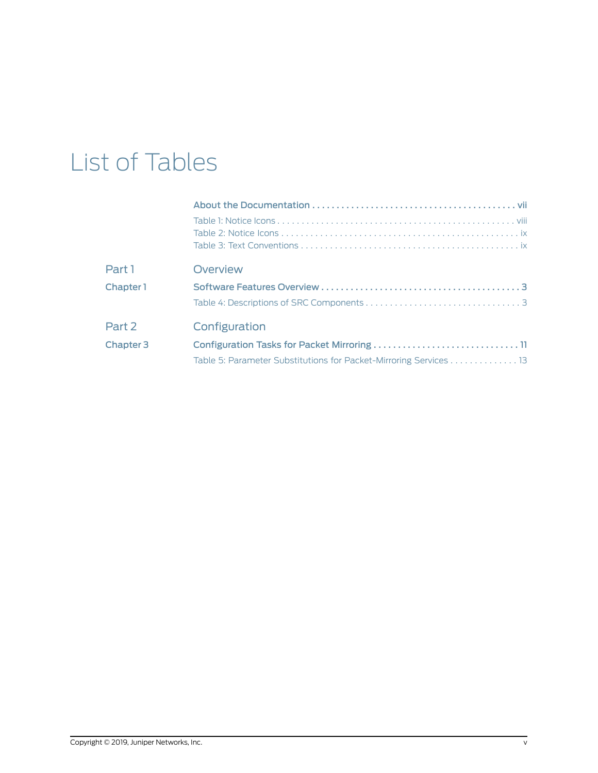## List of Tables

| Part 1           | Overview                                                          |
|------------------|-------------------------------------------------------------------|
| Chapter 1        |                                                                   |
|                  |                                                                   |
| Part 2           | Configuration                                                     |
| <b>Chapter 3</b> |                                                                   |
|                  | Table 5: Parameter Substitutions for Packet-Mirroring Services 13 |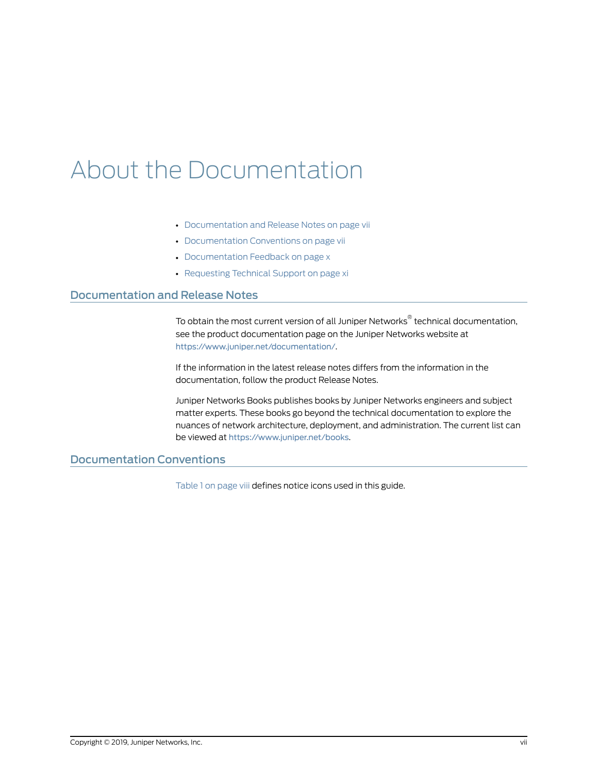## <span id="page-6-0"></span>About the Documentation

- [Documentation](#page-6-1) and Release Notes on [page](#page-6-1) vii
- [Documentation](#page-6-2) Conventions on [page](#page-6-2) vii
- [Documentation](#page-9-0) Feedback on [page](#page-9-0) x
- [Requesting](#page-10-0) Technical Support on [page](#page-10-0) xi

### <span id="page-6-1"></span>Documentation and Release Notes

To obtain the most current version of all Juniper Networks ® technical documentation, see the product documentation page on the Juniper Networks website at <https://www.juniper.net/documentation/>.

If the information in the latest release notes differs from the information in the documentation, follow the product Release Notes.

Juniper Networks Books publishes books by Juniper Networks engineers and subject matter experts. These books go beyond the technical documentation to explore the nuances of network architecture, deployment, and administration. The current list can be viewed at <https://www.juniper.net/books>.

## <span id="page-6-2"></span>Documentation Conventions

[Table](#page-7-1) 1 on page viii defines notice icons used in this guide.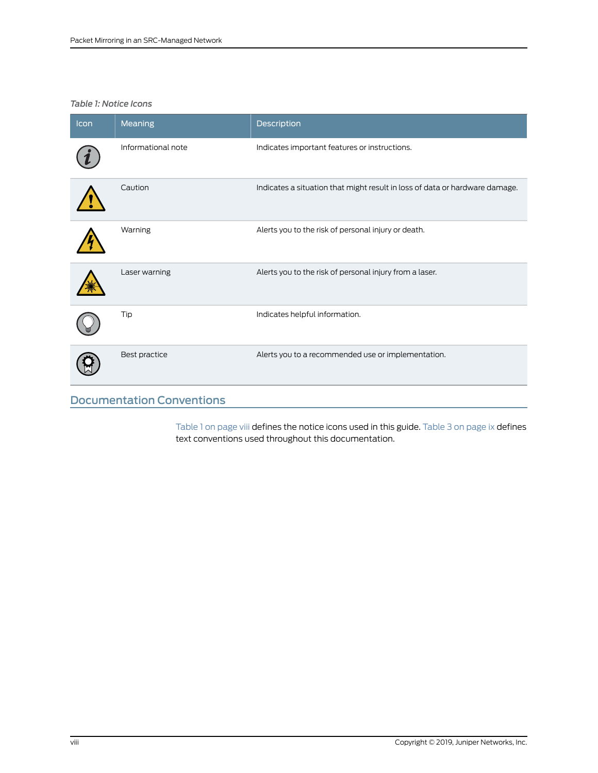## <span id="page-7-1"></span>*Table 1: Notice Icons*

| Icon | <b>Meaning</b>                   | Description                                                                 |
|------|----------------------------------|-----------------------------------------------------------------------------|
|      | Informational note               | Indicates important features or instructions.                               |
|      | Caution                          | Indicates a situation that might result in loss of data or hardware damage. |
|      | Warning                          | Alerts you to the risk of personal injury or death.                         |
|      | Laser warning                    | Alerts you to the risk of personal injury from a laser.                     |
|      | Tip                              | Indicates helpful information.                                              |
|      | Best practice                    | Alerts you to a recommended use or implementation.                          |
|      | <b>Documentation Conventions</b> |                                                                             |

<span id="page-7-0"></span>[Table](#page-8-1) 1 on page viii defines the notice icons used in this guide. Table 3 on page ix defines text conventions used throughout this documentation.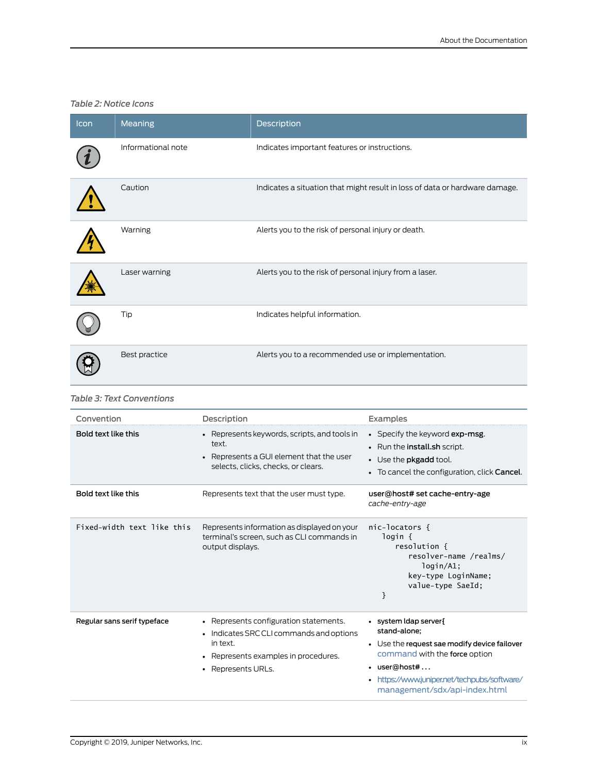### <span id="page-8-0"></span>*Table 2: Notice Icons*

| Icon | <b>Meaning</b>     | Description                                                                 |
|------|--------------------|-----------------------------------------------------------------------------|
|      | Informational note | Indicates important features or instructions.                               |
|      | Caution            | Indicates a situation that might result in loss of data or hardware damage. |
|      | Warning            | Alerts you to the risk of personal injury or death.                         |
|      | Laser warning      | Alerts you to the risk of personal injury from a laser.                     |
|      | Tip                | Indicates helpful information.                                              |
|      | Best practice      | Alerts you to a recommended use or implementation.                          |

#### <span id="page-8-1"></span>*Table 3: Text Conventions*

| Convention                  | Description                                                                                                                                                  | Examples                                                                                                                                                                                                               |
|-----------------------------|--------------------------------------------------------------------------------------------------------------------------------------------------------------|------------------------------------------------------------------------------------------------------------------------------------------------------------------------------------------------------------------------|
| Bold text like this         | • Represents keywords, scripts, and tools in<br>text.<br>• Represents a GUI element that the user<br>selects, clicks, checks, or clears.                     | • Specify the keyword exp-msg.<br>• Run the install.sh script.<br>• Use the <b>pkgadd</b> tool.<br>• To cancel the configuration, click Cancel.                                                                        |
| Bold text like this         | Represents text that the user must type.                                                                                                                     | user@host# set cache-entry-age<br>cache-entry-age                                                                                                                                                                      |
| Fixed-width text like this  | Represents information as displayed on your<br>terminal's screen, such as CLI commands in<br>output displays.                                                | $nic-locators$ {<br>login {<br>resolution {<br>resolver-name /realms/<br>login/A1;<br>key-type LoginName;<br>value-type SaeId;<br>}                                                                                    |
| Regular sans serif typeface | • Represents configuration statements.<br>• Indicates SRC CLI commands and options<br>in text.<br>• Represents examples in procedures.<br>• Represents URLs. | · system Idap server {<br>stand-alone;<br>• Use the request sae modify device failover<br>command with the force option<br>• user@host#<br>https://www.juniper.net/techpubs/software/<br>management/sdx/api-index.html |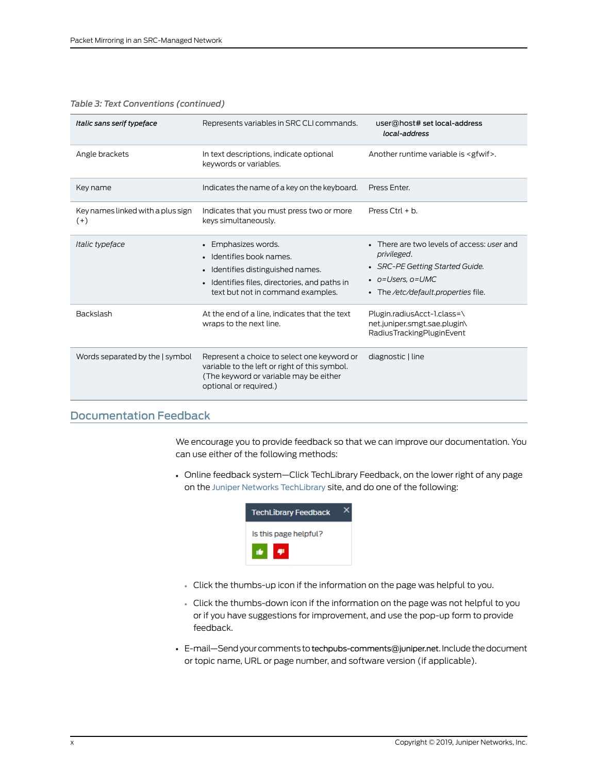| Italic sans serif typeface                 | Represents variables in SRC CLI commands.                                                                                                                                | user@host# set local-address<br>local-address                                                                                                                   |
|--------------------------------------------|--------------------------------------------------------------------------------------------------------------------------------------------------------------------------|-----------------------------------------------------------------------------------------------------------------------------------------------------------------|
| Angle brackets                             | In text descriptions, indicate optional<br>keywords or variables.                                                                                                        | Another runtime variable is <gfwif>.</gfwif>                                                                                                                    |
| Key name                                   | Indicates the name of a key on the keyboard.                                                                                                                             | Press Enter.                                                                                                                                                    |
| Key names linked with a plus sign<br>$(+)$ | Indicates that you must press two or more<br>keys simultaneously.                                                                                                        | Press Ctrl $+ b$ .                                                                                                                                              |
| Italic typeface                            | • Emphasizes words.<br>Identifies book names.<br>• Identifies distinguished names.<br>• Identifies files, directories, and paths in<br>text but not in command examples. | • There are two levels of access: user and<br>privileged.<br>• SRC-PE Getting Started Guide.<br>$\bullet$ o=Users, o=UMC<br>• The /etc/default.properties file. |
| <b>Backslash</b>                           | At the end of a line, indicates that the text<br>wraps to the next line.                                                                                                 | Plugin.radiusAcct-1.class=\<br>net.juniper.smgt.sae.plugin\<br>RadiusTrackingPluginEvent                                                                        |
| Words separated by the   symbol            | Represent a choice to select one keyword or<br>variable to the left or right of this symbol.<br>(The keyword or variable may be either<br>optional or required.)         | diagnostic   line                                                                                                                                               |

#### *Table 3: Text Conventions (continued)*

## <span id="page-9-0"></span>Documentation Feedback

We encourage you to provide feedback so that we can improve our documentation. You can use either of the following methods:

• Online feedback system—Click TechLibrary Feedback, on the lower right of any page on the Juniper Networks [TechLibrary](https://www.juniper.net/documentation/index.html) site, and do one of the following:



- Click the thumbs-up icon if the information on the page was helpful to you.
- Click the thumbs-down icon if the information on the page was not helpful to you or if you have suggestions for improvement, and use the pop-up form to provide feedback.
- E-mail-Send your comments to [techpubs-comments@juniper.net](mailto:techpubs-comments@juniper.net?subject=). Include the document or topic name, URL or page number, and software version (if applicable).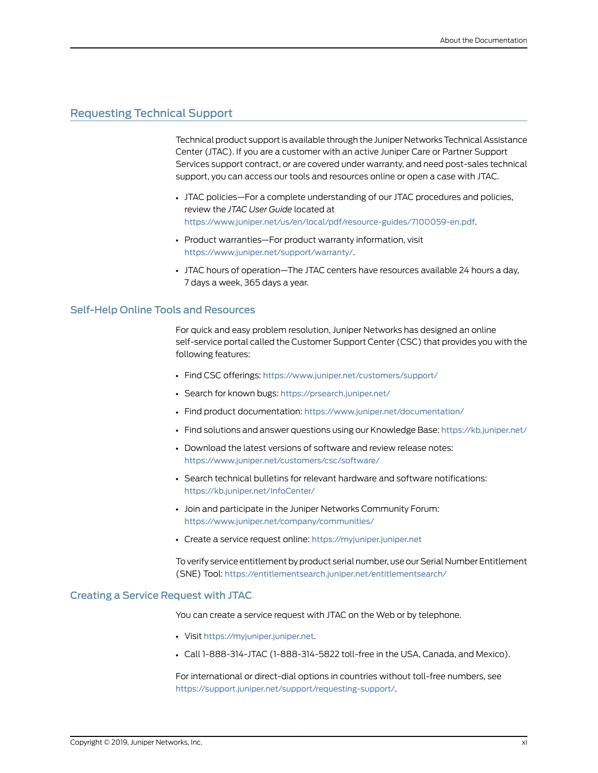## <span id="page-10-0"></span>Requesting Technical Support

Technical product support is available through the Juniper Networks Technical Assistance Center (JTAC). If you are a customer with an active Juniper Care or Partner Support Services support contract, or are covered under warranty, and need post-sales technical support, you can access our tools and resources online or open a case with JTAC.

- JTAC policies—For a complete understanding of our JTAC procedures and policies, review the *JTAC User Guide* located at <https://www.juniper.net/us/en/local/pdf/resource-guides/7100059-en.pdf>.
- Product warranties—For product warranty information, visit <https://www.juniper.net/support/warranty/>.
- JTAC hours of operation—The JTAC centers have resources available 24 hours a day, 7 days a week, 365 days a year.

#### <span id="page-10-1"></span>Self-Help Online Tools and Resources

For quick and easy problem resolution, Juniper Networks has designed an online self-service portal called the Customer Support Center (CSC) that provides you with the following features:

- Find CSC offerings: <https://www.juniper.net/customers/support/>
- Search for known bugs: <https://prsearch.juniper.net/>
- Find product documentation: <https://www.juniper.net/documentation/>
- Find solutions and answer questions using our Knowledge Base: <https://kb.juniper.net/>
- Download the latest versions of software and review release notes: <https://www.juniper.net/customers/csc/software/>
- Search technical bulletins for relevant hardware and software notifications: <https://kb.juniper.net/InfoCenter/>
- Join and participate in the Juniper Networks Community Forum: <https://www.juniper.net/company/communities/>
- Create a service request online: <https://myjuniper.juniper.net>

To verify service entitlement by product serial number, use our Serial Number Entitlement (SNE) Tool: <https://entitlementsearch.juniper.net/entitlementsearch/>

#### <span id="page-10-2"></span>Creating a Service Request with JTAC

You can create a service request with JTAC on the Web or by telephone.

- Visit <https://myjuniper.juniper.net>.
- Call 1-888-314-JTAC (1-888-314-5822 toll-free in the USA, Canada, and Mexico).

For international or direct-dial options in countries without toll-free numbers, see <https://support.juniper.net/support/requesting-support/>.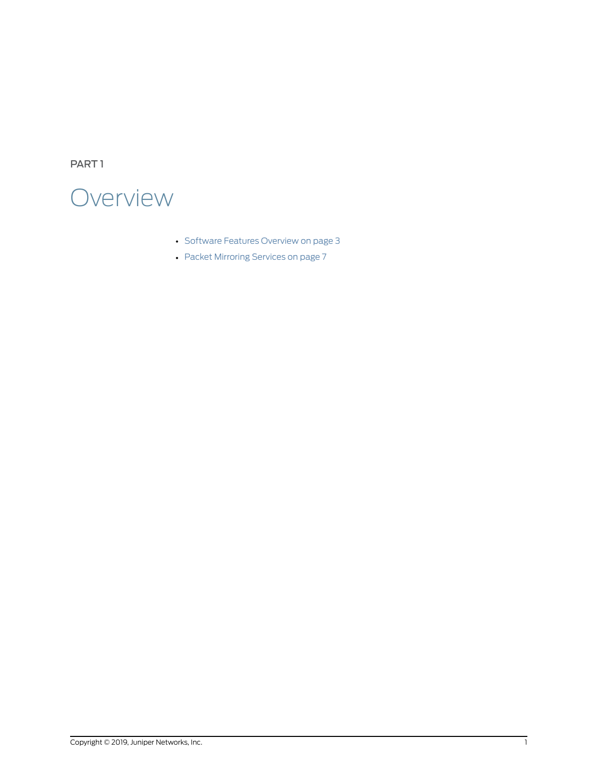<span id="page-12-0"></span>PART 1

## **Overview**

- Software Features [Overview](#page-14-0) on [page](#page-14-0) 3
- Packet [Mirroring](#page-18-0) Services on [page](#page-18-0) 7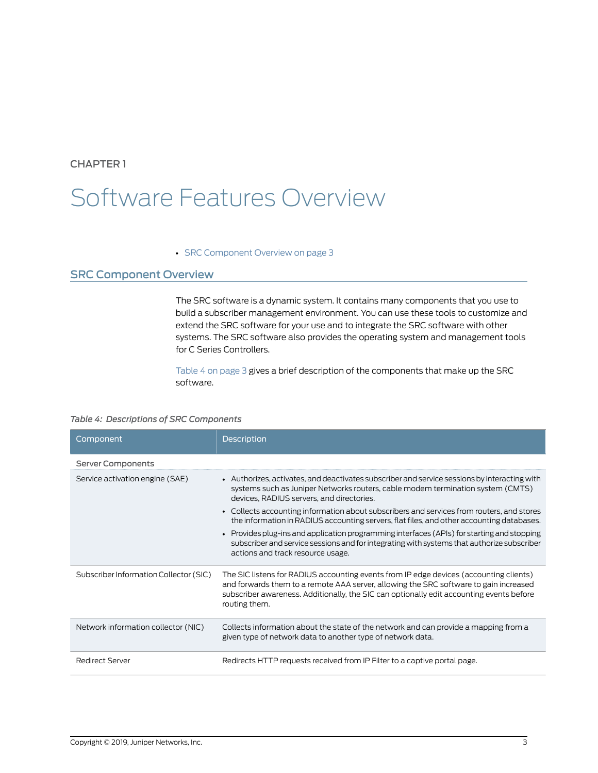## <span id="page-14-0"></span>CHAPTER 1

## Software Features Overview

#### • SRC [Component](#page-14-1) Overview on [page](#page-14-1) 3

## <span id="page-14-1"></span>SRC Component Overview

The SRC software is a dynamic system. It contains many components that you use to build a subscriber management environment. You can use these tools to customize and extend the SRC software for your use and to integrate the SRC software with other systems. The SRC software also provides the operating system and management tools for C Series Controllers.

<span id="page-14-2"></span>[Table](#page-14-2) 4 on page 3 gives a brief description of the components that make up the SRC software.

#### *Table 4: Descriptions of SRC Components*

| Component                              | <b>Description</b>                                                                                                                                                                                                                                                                           |
|----------------------------------------|----------------------------------------------------------------------------------------------------------------------------------------------------------------------------------------------------------------------------------------------------------------------------------------------|
| <b>Server Components</b>               |                                                                                                                                                                                                                                                                                              |
| Service activation engine (SAE)        | - Authorizes, activates, and deactivates subscriber and service sessions by interacting with<br>systems such as Juniper Networks routers, cable modem termination system (CMTS)<br>devices, RADIUS servers, and directories.                                                                 |
|                                        | • Collects accounting information about subscribers and services from routers, and stores<br>the information in RADIUS accounting servers, flat files, and other accounting databases.                                                                                                       |
|                                        | • Provides plug-ins and application programming interfaces (APIs) for starting and stopping<br>subscriber and service sessions and for integrating with systems that authorize subscriber<br>actions and track resource usage.                                                               |
| Subscriber Information Collector (SIC) | The SIC listens for RADIUS accounting events from IP edge devices (accounting clients)<br>and forwards them to a remote AAA server, allowing the SRC software to gain increased<br>subscriber awareness. Additionally, the SIC can optionally edit accounting events before<br>routing them. |
| Network information collector (NIC)    | Collects information about the state of the network and can provide a mapping from a<br>given type of network data to another type of network data.                                                                                                                                          |
| <b>Redirect Server</b>                 | Redirects HTTP requests received from IP Filter to a captive portal page.                                                                                                                                                                                                                    |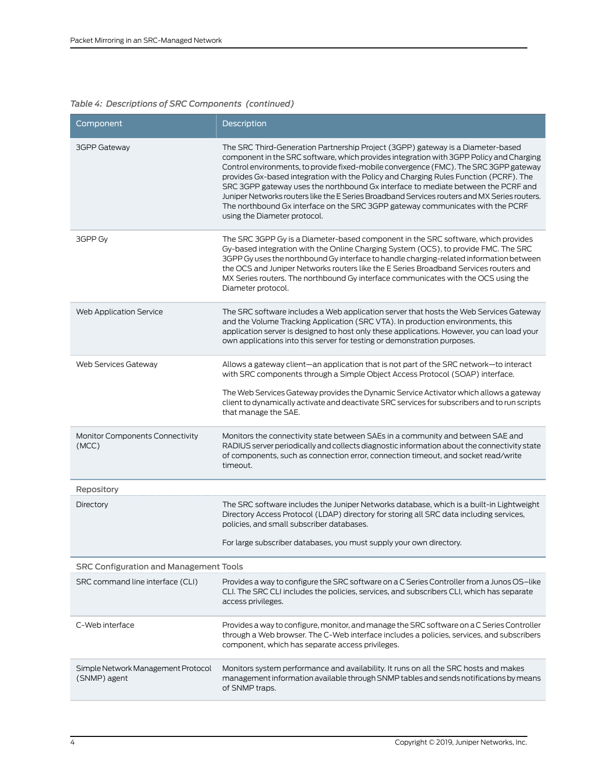## *Table 4: Descriptions of SRC Components (continued)*

| Component                                          | Description                                                                                                                                                                                                                                                                                                                                                                                                                                                                                                                                                                                                                                                         |
|----------------------------------------------------|---------------------------------------------------------------------------------------------------------------------------------------------------------------------------------------------------------------------------------------------------------------------------------------------------------------------------------------------------------------------------------------------------------------------------------------------------------------------------------------------------------------------------------------------------------------------------------------------------------------------------------------------------------------------|
| <b>3GPP Gateway</b>                                | The SRC Third-Generation Partnership Project (3GPP) gateway is a Diameter-based<br>component in the SRC software, which provides integration with 3GPP Policy and Charging<br>Control environments, to provide fixed-mobile convergence (FMC). The SRC 3GPP gateway<br>provides Gx-based integration with the Policy and Charging Rules Function (PCRF). The<br>SRC 3GPP gateway uses the northbound Gx interface to mediate between the PCRF and<br>Juniper Networks routers like the E Series Broadband Services routers and MX Series routers.<br>The northbound Gx interface on the SRC 3GPP gateway communicates with the PCRF<br>using the Diameter protocol. |
| 3GPP Gy                                            | The SRC 3GPP Gy is a Diameter-based component in the SRC software, which provides<br>Gy-based integration with the Online Charging System (OCS), to provide FMC. The SRC<br>3GPP Gy uses the northbound Gy interface to handle charging-related information between<br>the OCS and Juniper Networks routers like the E Series Broadband Services routers and<br>MX Series routers. The northbound Gy interface communicates with the OCS using the<br>Diameter protocol.                                                                                                                                                                                            |
| Web Application Service                            | The SRC software includes a Web application server that hosts the Web Services Gateway<br>and the Volume Tracking Application (SRC VTA). In production environments, this<br>application server is designed to host only these applications. However, you can load your<br>own applications into this server for testing or demonstration purposes.                                                                                                                                                                                                                                                                                                                 |
| Web Services Gateway                               | Allows a gateway client—an application that is not part of the SRC network—to interact<br>with SRC components through a Simple Object Access Protocol (SOAP) interface.<br>The Web Services Gateway provides the Dynamic Service Activator which allows a gateway<br>client to dynamically activate and deactivate SRC services for subscribers and to run scripts<br>that manage the SAE.                                                                                                                                                                                                                                                                          |
| Monitor Components Connectivity<br>(MCC)           | Monitors the connectivity state between SAEs in a community and between SAE and<br>RADIUS server periodically and collects diagnostic information about the connectivity state<br>of components, such as connection error, connection timeout, and socket read/write<br>timeout.                                                                                                                                                                                                                                                                                                                                                                                    |
| Repository                                         |                                                                                                                                                                                                                                                                                                                                                                                                                                                                                                                                                                                                                                                                     |
| Directory                                          | The SRC software includes the Juniper Networks database, which is a built-in Lightweight<br>Directory Access Protocol (LDAP) directory for storing all SRC data including services,<br>policies, and small subscriber databases.<br>For large subscriber databases, you must supply your own directory.                                                                                                                                                                                                                                                                                                                                                             |
| <b>SRC Configuration and Management Tools</b>      |                                                                                                                                                                                                                                                                                                                                                                                                                                                                                                                                                                                                                                                                     |
| SRC command line interface (CLI)                   | Provides a way to configure the SRC software on a C Series Controller from a Junos OS-like<br>CLI. The SRC CLI includes the policies, services, and subscribers CLI, which has separate<br>access privileges.                                                                                                                                                                                                                                                                                                                                                                                                                                                       |
| C-Web interface                                    | Provides a way to configure, monitor, and manage the SRC software on a C Series Controller<br>through a Web browser. The C-Web interface includes a policies, services, and subscribers<br>component, which has separate access privileges.                                                                                                                                                                                                                                                                                                                                                                                                                         |
| Simple Network Management Protocol<br>(SNMP) agent | Monitors system performance and availability. It runs on all the SRC hosts and makes<br>management information available through SNMP tables and sends notifications by means<br>of SNMP traps.                                                                                                                                                                                                                                                                                                                                                                                                                                                                     |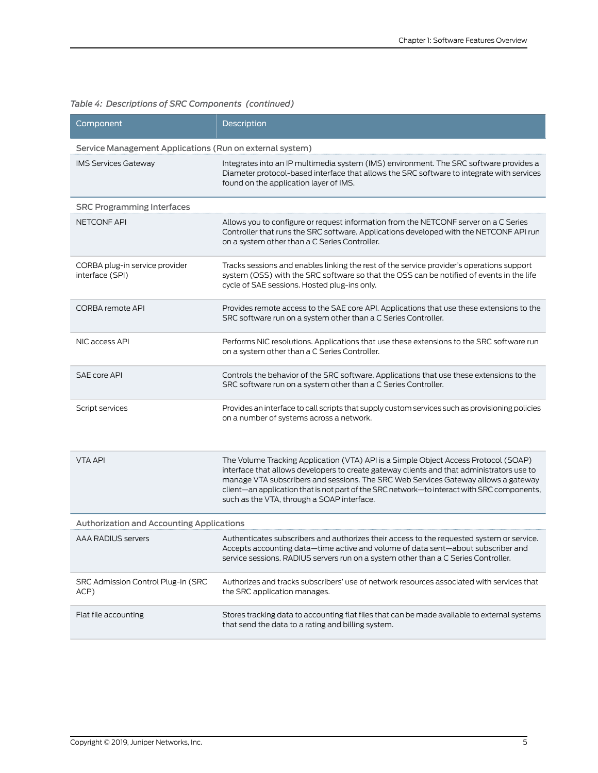| Component                                         | Description                                                                                                                                                                                                                                                                                                                                                                                                        |  |  |  |
|---------------------------------------------------|--------------------------------------------------------------------------------------------------------------------------------------------------------------------------------------------------------------------------------------------------------------------------------------------------------------------------------------------------------------------------------------------------------------------|--|--|--|
|                                                   | Service Management Applications (Run on external system)                                                                                                                                                                                                                                                                                                                                                           |  |  |  |
| <b>IMS Services Gateway</b>                       | Integrates into an IP multimedia system (IMS) environment. The SRC software provides a<br>Diameter protocol-based interface that allows the SRC software to integrate with services<br>found on the application layer of IMS.                                                                                                                                                                                      |  |  |  |
| <b>SRC Programming Interfaces</b>                 |                                                                                                                                                                                                                                                                                                                                                                                                                    |  |  |  |
| <b>NETCONF API</b>                                | Allows you to configure or request information from the NETCONF server on a C Series<br>Controller that runs the SRC software. Applications developed with the NETCONF API run<br>on a system other than a C Series Controller.                                                                                                                                                                                    |  |  |  |
| CORBA plug-in service provider<br>interface (SPI) | Tracks sessions and enables linking the rest of the service provider's operations support<br>system (OSS) with the SRC software so that the OSS can be notified of events in the life<br>cycle of SAE sessions. Hosted plug-ins only.                                                                                                                                                                              |  |  |  |
| <b>CORBA remote API</b>                           | Provides remote access to the SAE core API. Applications that use these extensions to the<br>SRC software run on a system other than a C Series Controller.                                                                                                                                                                                                                                                        |  |  |  |
| NIC access API                                    | Performs NIC resolutions. Applications that use these extensions to the SRC software run<br>on a system other than a C Series Controller.                                                                                                                                                                                                                                                                          |  |  |  |
| SAE core API                                      | Controls the behavior of the SRC software. Applications that use these extensions to the<br>SRC software run on a system other than a C Series Controller.                                                                                                                                                                                                                                                         |  |  |  |
| Script services                                   | Provides an interface to call scripts that supply custom services such as provisioning policies<br>on a number of systems across a network.                                                                                                                                                                                                                                                                        |  |  |  |
| <b>VTA API</b>                                    | The Volume Tracking Application (VTA) API is a Simple Object Access Protocol (SOAP)<br>interface that allows developers to create gateway clients and that administrators use to<br>manage VTA subscribers and sessions. The SRC Web Services Gateway allows a gateway<br>client-an application that is not part of the SRC network-to interact with SRC components,<br>such as the VTA, through a SOAP interface. |  |  |  |
| <b>Authorization and Accounting Applications</b>  |                                                                                                                                                                                                                                                                                                                                                                                                                    |  |  |  |
| <b>AAA RADIUS servers</b>                         | Authenticates subscribers and authorizes their access to the requested system or service.<br>Accepts accounting data—time active and volume of data sent—about subscriber and<br>service sessions. RADIUS servers run on a system other than a C Series Controller.                                                                                                                                                |  |  |  |
| SRC Admission Control Plug-In (SRC<br>ACP)        | Authorizes and tracks subscribers' use of network resources associated with services that<br>the SRC application manages.                                                                                                                                                                                                                                                                                          |  |  |  |
| Flat file accounting                              | Stores tracking data to accounting flat files that can be made available to external systems<br>that send the data to a rating and billing system.                                                                                                                                                                                                                                                                 |  |  |  |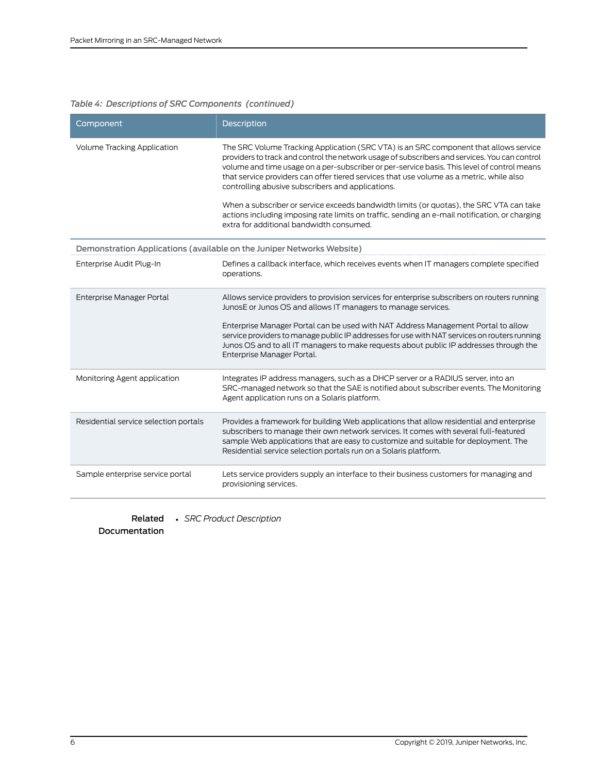### *Table 4: Descriptions of SRC Components (continued)*

| Component                             | Description                                                                                                                                                                                                                                                                                                                                                                                                                                                                                                                                                                                                                                                                     |
|---------------------------------------|---------------------------------------------------------------------------------------------------------------------------------------------------------------------------------------------------------------------------------------------------------------------------------------------------------------------------------------------------------------------------------------------------------------------------------------------------------------------------------------------------------------------------------------------------------------------------------------------------------------------------------------------------------------------------------|
| <b>Volume Tracking Application</b>    | The SRC Volume Tracking Application (SRC VTA) is an SRC component that allows service<br>providers to track and control the network usage of subscribers and services. You can control<br>volume and time usage on a per-subscriber or per-service basis. This level of control means<br>that service providers can offer tiered services that use volume as a metric, while also<br>controlling abusive subscribers and applications.<br>When a subscriber or service exceeds bandwidth limits (or quotas), the SRC VTA can take<br>actions including imposing rate limits on traffic, sending an e-mail notification, or charging<br>extra for additional bandwidth consumed. |
|                                       | Demonstration Applications (available on the Juniper Networks Website)                                                                                                                                                                                                                                                                                                                                                                                                                                                                                                                                                                                                          |
| Enterprise Audit Plug-In              | Defines a callback interface, which receives events when IT managers complete specified<br>operations.                                                                                                                                                                                                                                                                                                                                                                                                                                                                                                                                                                          |
| Enterprise Manager Portal             | Allows service providers to provision services for enterprise subscribers on routers running<br>JunosE or Junos OS and allows IT managers to manage services.<br>Enterprise Manager Portal can be used with NAT Address Management Portal to allow<br>service providers to manage public IP addresses for use with NAT services on routers running<br>Junos OS and to all IT managers to make requests about public IP addresses through the<br>Enterprise Manager Portal.                                                                                                                                                                                                      |
| Monitoring Agent application          | Integrates IP address managers, such as a DHCP server or a RADIUS server, into an<br>SRC-managed network so that the SAE is notified about subscriber events. The Monitoring<br>Agent application runs on a Solaris platform.                                                                                                                                                                                                                                                                                                                                                                                                                                                   |
| Residential service selection portals | Provides a framework for building Web applications that allow residential and enterprise<br>subscribers to manage their own network services. It comes with several full-featured<br>sample Web applications that are easy to customize and suitable for deployment. The<br>Residential service selection portals run on a Solaris platform.                                                                                                                                                                                                                                                                                                                                    |
| Sample enterprise service portal      | Lets service providers supply an interface to their business customers for managing and<br>provisioning services.                                                                                                                                                                                                                                                                                                                                                                                                                                                                                                                                                               |

Related • *SRC Product Description* Documentation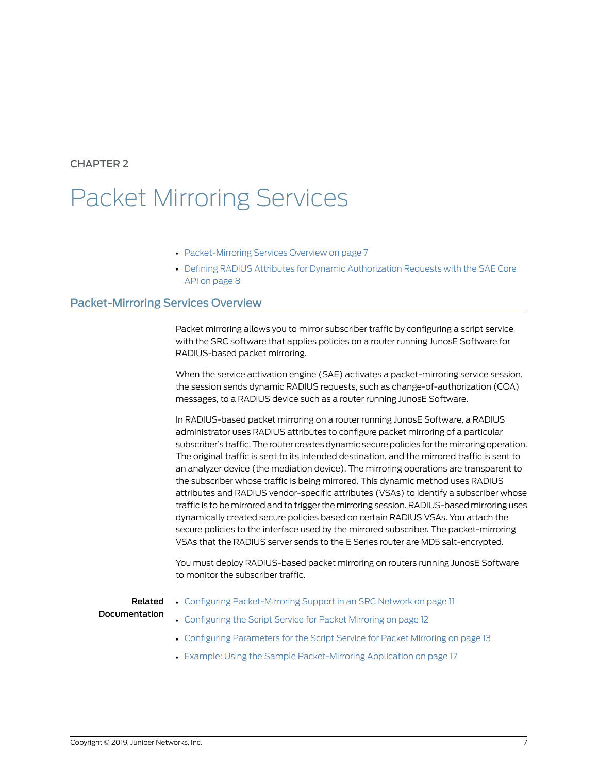<span id="page-18-0"></span>CHAPTER 2

## Packet Mirroring Services

- [Packet-Mirroring](#page-18-1) Services Overview on [page](#page-18-1) 7
- Defining RADIUS Attributes for Dynamic [Authorization](#page-19-0) Requests with the SAE Core API on [page](#page-19-0) 8

## <span id="page-18-1"></span>Packet-Mirroring Services Overview

Packet mirroring allows you to mirror subscriber traffic by configuring a script service with the SRC software that applies policies on a router running JunosE Software for RADIUS-based packet mirroring.

When the service activation engine (SAE) activates a packet-mirroring service session, the session sends dynamic RADIUS requests, such as change-of-authorization (COA) messages, to a RADIUS device such as a router running JunosE Software.

In RADIUS-based packet mirroring on a router running JunosE Software, a RADIUS administrator uses RADIUS attributes to configure packet mirroring of a particular subscriber's traffic.The router creates dynamic secure policies for the mirroring operation. The original traffic is sent to its intended destination, and the mirrored traffic is sent to an analyzer device (the mediation device). The mirroring operations are transparent to the subscriber whose traffic is being mirrored. This dynamic method uses RADIUS attributes and RADIUS vendor-specific attributes (VSAs) to identify a subscriber whose traffic is to be mirrored and to trigger the mirroring session. RADIUS-based mirroring uses dynamically created secure policies based on certain RADIUS VSAs. You attach the secure policies to the interface used by the mirrored subscriber. The packet-mirroring VSAs that the RADIUS server sends to the E Series router are MD5 salt-encrypted.

You must deploy RADIUS-based packet mirroring on routers running JunosE Software to monitor the subscriber traffic.

## Related

• Configuring [Packet-Mirroring](#page-22-1) Support in an SRC Network on page 11

#### Documentation

- [Configuring](#page-23-0) the Script Service for Packet Mirroring on page 12
- Configuring [Parameters](#page-24-0) for the Script Service for Packet Mirroring on page 13
- Example: Using the Sample [Packet-Mirroring](#page-28-1) Application on page 17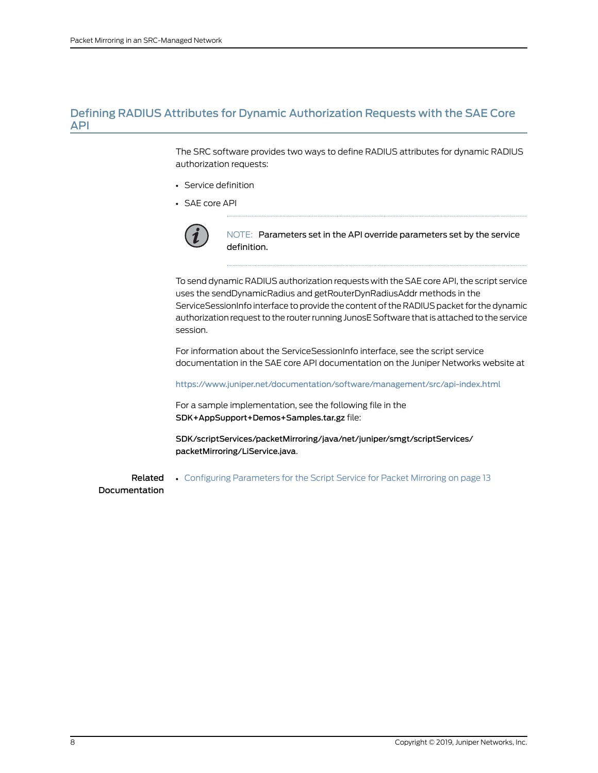## <span id="page-19-0"></span>Defining RADIUS Attributes for Dynamic Authorization Requests with the SAE Core API

The SRC software provides two ways to define RADIUS attributes for dynamic RADIUS authorization requests:

- Service definition
- SAE core API



NOTE: Parameters set in the API override parameters set by the service definition.

To send dynamic RADIUS authorization requests with the SAE core API, the script service uses the sendDynamicRadius and getRouterDynRadiusAddr methods in the ServiceSessionInfo interface to provide the content of the RADIUS packet for the dynamic authorization request to the routerrunning JunosE Software that is attached to the service session.

For information about the ServiceSessionInfo interface, see the script service documentation in the SAE core API documentation on the Juniper Networks website at

<https://www.juniper.net/documentation/software/management/src/api-index.html>

For a sample implementation, see the following file in the SDK+AppSupport+Demos+Samples.tar.gz file:

SDK/scriptServices/packetMirroring/java/net/juniper/smgt/scriptServices/ packetMirroring/LiService.java.

Related Documentation • Configuring [Parameters](#page-24-0) for the Script Service for Packet Mirroring on page 13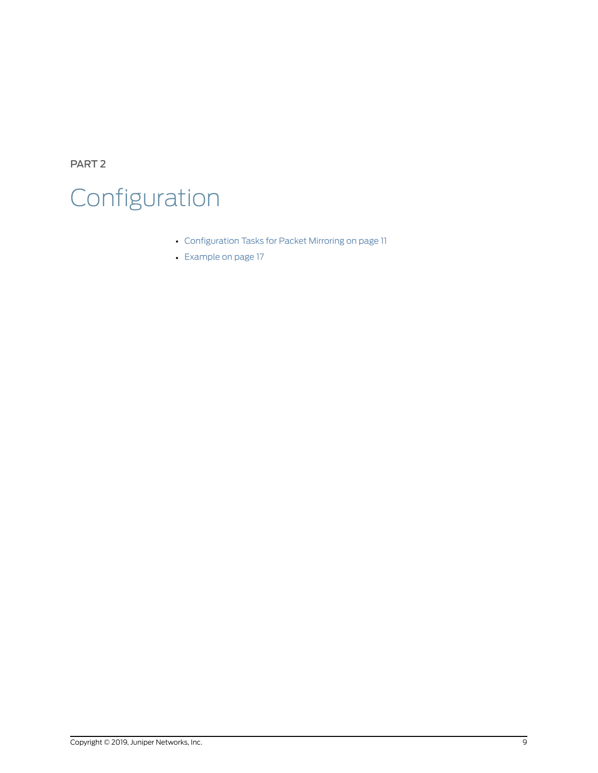<span id="page-20-0"></span>PART 2

# Configuration

- [Configuration](#page-22-0) Tasks for Packet Mirroring on [page](#page-22-0) 11
- [Example](#page-28-0) on [page](#page-28-0) 17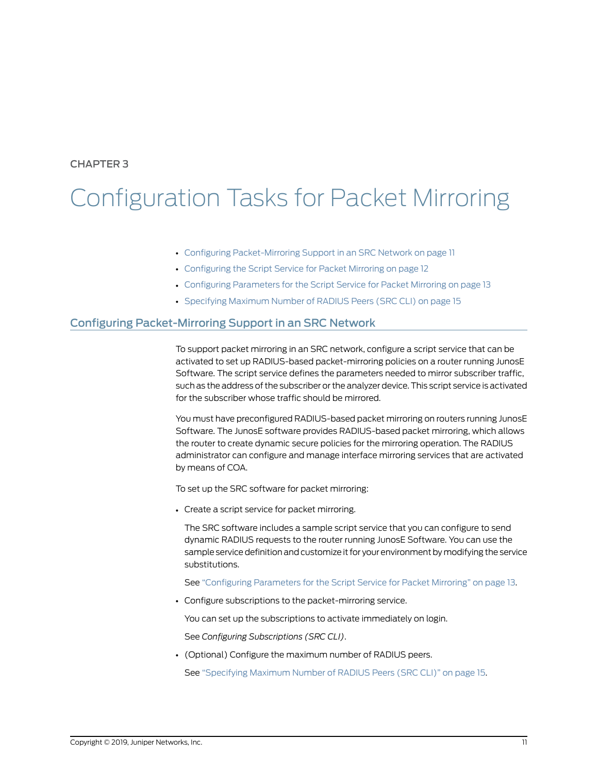## <span id="page-22-0"></span>CHAPTER 3

# Configuration Tasks for Packet Mirroring

- Configuring [Packet-Mirroring](#page-22-1) Support in an SRC Network on [page](#page-22-1) 11
- [Configuring](#page-23-0) the Script Service for Packet Mirroring on [page](#page-23-0) 12
- Configuring [Parameters](#page-24-0) for the Script Service for Packet Mirroring on [page](#page-24-0) 13
- [Specifying](#page-26-0) Maximum Number of RADIUS Peers (SRC CLI) on [page](#page-26-0) 15

## <span id="page-22-1"></span>Configuring Packet-Mirroring Support in an SRC Network

To support packet mirroring in an SRC network, configure a script service that can be activated to set up RADIUS-based packet-mirroring policies on a router running JunosE Software. The script service defines the parameters needed to mirror subscriber traffic, such as the address of the subscriber or the analyzer device.This script service is activated for the subscriber whose traffic should be mirrored.

You must have preconfigured RADIUS-based packet mirroring on routers running JunosE Software. The JunosE software provides RADIUS-based packet mirroring, which allows the router to create dynamic secure policies for the mirroring operation. The RADIUS administrator can configure and manage interface mirroring services that are activated by means of COA.

To set up the SRC software for packet mirroring:

• Create a script service for packet mirroring.

The SRC software includes a sample script service that you can configure to send dynamic RADIUS requests to the router running JunosE Software. You can use the sample service definition and customize it for your environment by modifying the service substitutions.

See ["Configuring](#page-24-0) Parameters for the Script Service for Packet Mirroring" on page 13.

• Configure subscriptions to the packet-mirroring service.

You can set up the subscriptions to activate immediately on login.

See *Configuring Subscriptions (SRC CLI)*.

• (Optional) Configure the maximum number of RADIUS peers.

See ["Specifying](#page-26-0) Maximum Number of RADIUS Peers (SRC CLI)" on page 15.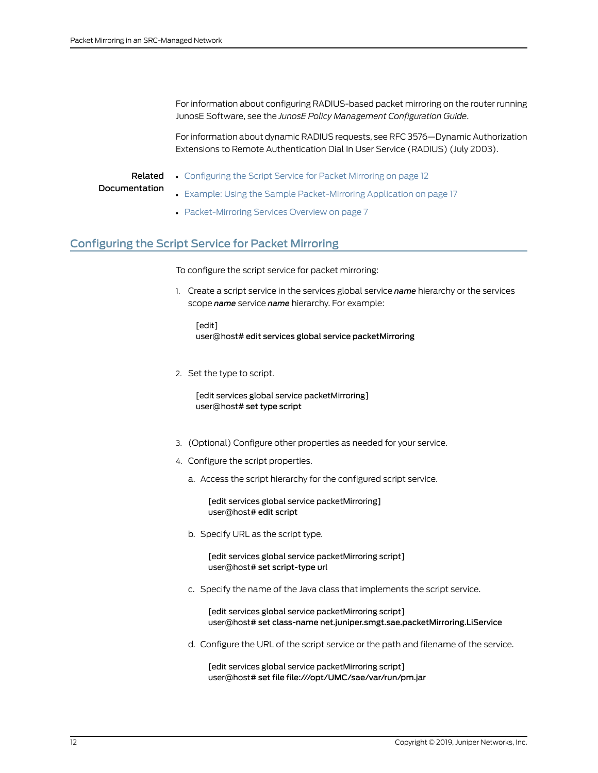For information about configuring RADIUS-based packet mirroring on the router running JunosE Software, see the *JunosE Policy Management Configuration Guide*.

For information about dynamic RADIUS requests, see RFC 3576—Dynamic Authorization Extensions to Remote Authentication Dial In User Service (RADIUS) (July 2003).

### Related **Documentation**

- [Configuring](#page-23-0) the Script Service for Packet Mirroring on page 12
- Example: Using the Sample [Packet-Mirroring](#page-28-1) Application on page 17
- [Packet-Mirroring](#page-18-1) Services Overview on page 7

## <span id="page-23-0"></span>Configuring the Script Service for Packet Mirroring

To configure the script service for packet mirroring:

1. Create a script service in the services global service *name* hierarchy or the services scope *name* service *name* hierarchy. For example:

[edit] user@host# edit services global service packetMirroring

2. Set the type to script.

[edit services global service packetMirroring] user@host# set type script

- 3. (Optional) Configure other properties as needed for your service.
- 4. Configure the script properties.
	- a. Access the script hierarchy for the configured script service.

[edit services global service packetMirroring] user@host# edit script

b. Specify URL as the script type.

[edit services global service packetMirroring script] user@host# set script-type url

c. Specify the name of the Java class that implements the script service.

[edit services global service packetMirroring script] user@host# set class-name net.juniper.smgt.sae.packetMirroring.LiService

d. Configure the URL of the script service or the path and filename of the service.

[edit services global service packetMirroring script] user@host# set file file:///opt/UMC/sae/var/run/pm.jar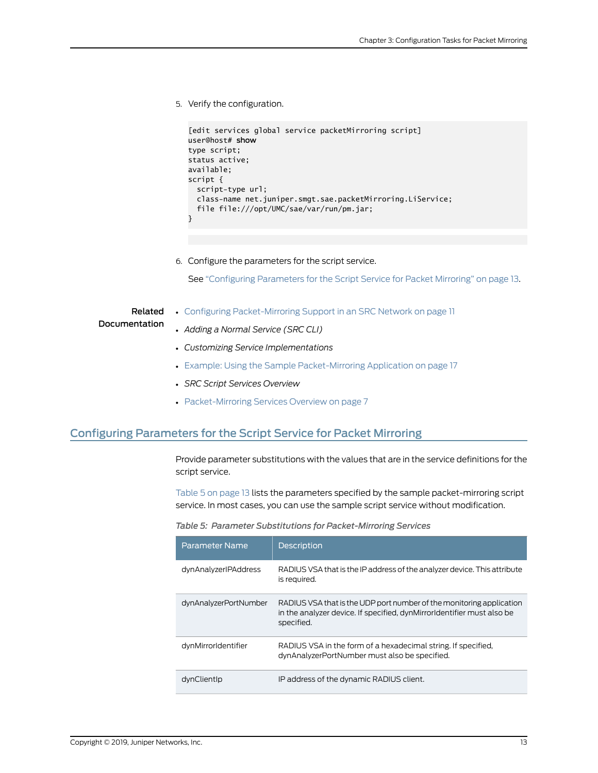5. Verify the configuration.

```
[edit services global service packetMirroring script]
user@host# show
type script;
status active;
available;
script { 
   script-type url;
  class-name net.juniper.smgt.sae.packetMirroring.LiService;
   file file:///opt/UMC/sae/var/run/pm.jar;
}
```
6. Configure the parameters for the script service.

See ["Configuring](#page-24-0) Parameters for the Script Service for Packet Mirroring" on page 13.

#### Related • Configuring [Packet-Mirroring](#page-22-1) Support in an SRC Network on page 11

### Documentation

- *Adding a Normal Service (SRC CLI)*
- *Customizing Service Implementations*
- Example: Using the Sample [Packet-Mirroring](#page-28-1) Application on page 17
- *SRC Script Services Overview*
- [Packet-Mirroring](#page-18-1) Services Overview on page 7

## <span id="page-24-0"></span>Configuring Parameters for the Script Service for Packet Mirroring

<span id="page-24-1"></span>Provide parameter substitutions with the values that are in the service definitions for the script service.

[Table](#page-24-1) 5 on page 13 lists the parameters specified by the sample packet-mirroring script service. In most cases, you can use the sample script service without modification.

| Table 5: Parameter Substitutions for Packet-Mirroring Services |  |  |  |  |
|----------------------------------------------------------------|--|--|--|--|
|----------------------------------------------------------------|--|--|--|--|

| Parameter Name        | <b>Description</b>                                                                                                                                           |
|-----------------------|--------------------------------------------------------------------------------------------------------------------------------------------------------------|
| dynAnalyzerIPAddress  | RADIUS VSA that is the IP address of the analyzer device. This attribute<br>is required.                                                                     |
| dynAnalyzerPortNumber | RADIUS VSA that is the UDP port number of the monitoring application<br>in the analyzer device. If specified, dynMirrorIdentifier must also be<br>specified. |
| dynMirrorIdentifier   | RADIUS VSA in the form of a hexadecimal string. If specified,<br>dynAnalyzerPortNumber must also be specified.                                               |
| dynClientIp           | IP address of the dynamic RADIUS client.                                                                                                                     |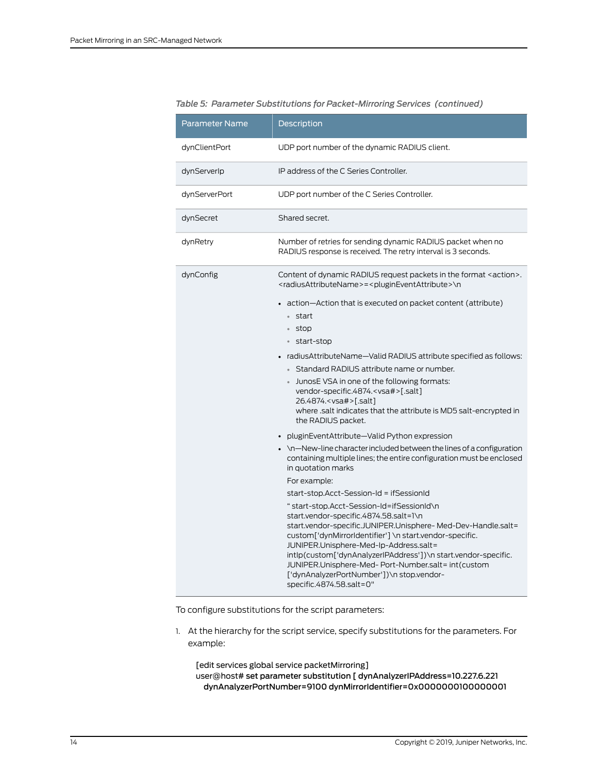| <b>Parameter Name</b> | Description                                                                                                                                                                                                                                                                                                                                                                                                                                                                                                                                                                                                                                                                                                                                              |
|-----------------------|----------------------------------------------------------------------------------------------------------------------------------------------------------------------------------------------------------------------------------------------------------------------------------------------------------------------------------------------------------------------------------------------------------------------------------------------------------------------------------------------------------------------------------------------------------------------------------------------------------------------------------------------------------------------------------------------------------------------------------------------------------|
| dynClientPort         | UDP port number of the dynamic RADIUS client.                                                                                                                                                                                                                                                                                                                                                                                                                                                                                                                                                                                                                                                                                                            |
| dynServerIp           | IP address of the C Series Controller.                                                                                                                                                                                                                                                                                                                                                                                                                                                                                                                                                                                                                                                                                                                   |
| dynServerPort         | UDP port number of the C Series Controller.                                                                                                                                                                                                                                                                                                                                                                                                                                                                                                                                                                                                                                                                                                              |
| dynSecret             | Shared secret.                                                                                                                                                                                                                                                                                                                                                                                                                                                                                                                                                                                                                                                                                                                                           |
| dynRetry              | Number of retries for sending dynamic RADIUS packet when no<br>RADIUS response is received. The retry interval is 3 seconds.                                                                                                                                                                                                                                                                                                                                                                                                                                                                                                                                                                                                                             |
| dynConfig             | Content of dynamic RADIUS request packets in the format <action>.<br/><radiusattributename> = <plugineventattribute>\n</plugineventattribute></radiusattributename></action>                                                                                                                                                                                                                                                                                                                                                                                                                                                                                                                                                                             |
|                       | • action—Action that is executed on packet content (attribute)<br>• start<br>• stop<br>• start-stop<br>radius Attribute Name—Valid RADIUS attribute specified as follows:<br>• Standard RADIUS attribute name or number.<br>JunosE VSA in one of the following formats:<br>vendor-specific.4874. <vsa#>[.salt]<br/>26.4874.<vsa#>[.salt]<br/>where .salt indicates that the attribute is MD5 salt-encrypted in<br/>the RADIUS packet.</vsa#></vsa#>                                                                                                                                                                                                                                                                                                      |
|                       | • pluginEventAttribute-Valid Python expression<br>$\bullet$ \n—New-line character included between the lines of a configuration<br>containing multiple lines; the entire configuration must be enclosed<br>in quotation marks<br>For example:<br>start-stop.Acct-Session-Id = ifSessionId<br>" start-stop.Acct-Session-Id=ifSessionId\n<br>start.vendor-specific.4874.58.salt=1\n<br>start.vendor-specific.JUNIPER.Unisphere-Med-Dev-Handle.salt=<br>custom['dynMirrorIdentifier'] \n start.vendor-specific.<br>JUNIPER.Unisphere-Med-Ip-Address.salt=<br>intlp(custom['dynAnalyzerlPAddress'])\n start.vendor-specific.<br>JUNIPER.Unisphere-Med- Port-Number.salt= int(custom<br>['dynAnalyzerPortNumber'])\n stop.vendor-<br>specific.4874.58.salt=0" |

#### *Table 5: Parameter Substitutions for Packet-Mirroring Services (continued)*

To configure substitutions for the script parameters:

1. At the hierarchy for the script service, specify substitutions for the parameters. For example:

[edit services global service packetMirroring] user@host# set parameter substitution [ dynAnalyzerIPAddress=10.227.6.221 dynAnalyzerPortNumber=9100 dynMirrorIdentifier=0x0000000100000001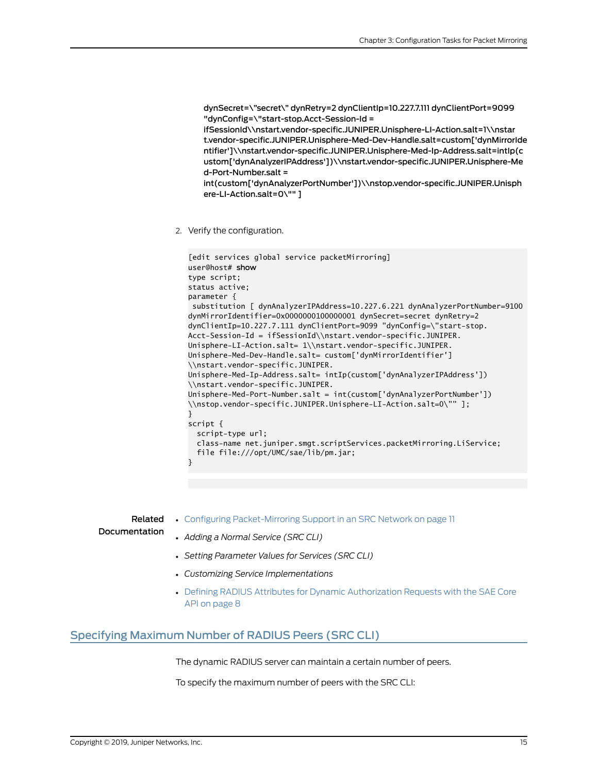dynSecret=\"secret\" dynRetry=2 dynClientIp=10.227.7.111 dynClientPort=9099 "dynConfig=\"start-stop.Acct-Session-Id =

ifSessionId\\nstart.vendor-specific.JUNIPER.Unisphere-LI-Action.salt=1\\nstar t.vendor-specific.JUNIPER.Unisphere-Med-Dev-Handle.salt=custom['dynMirrorIde ntifier']\\nstart.vendor-specific.JUNIPER.Unisphere-Med-Ip-Address.salt=intIp(c ustom['dynAnalyzerIPAddress'])\\nstart.vendor-specific.JUNIPER.Unisphere-Me d-Port-Number.salt =

int(custom['dynAnalyzerPortNumber'])\\nstop.vendor-specific.JUNIPER.Unisph ere-LI-Action.salt=0\"" ]

2. Verify the configuration.

```
[edit services global service packetMirroring]
user@host# show
type script;
status active;
parameter { 
  substitution [ dynAnalyzerIPAddress=10.227.6.221 dynAnalyzerPortNumber=9100 
dynMirrorIdentifier=0x0000000100000001 dynSecret=secret dynRetry=2 
dynClientIp=10.227.7.111 dynClientPort=9099 "dynConfig=\"start-stop.
Acct-Session-Id = ifSessionId\\nstart.vendor-specific.JUNIPER.
Unisphere-LI-Action.salt= 1\\nstart.vendor-specific.JUNIPER.
Unisphere-Med-Dev-Handle.salt= custom['dynMirrorIdentifier']
\\nstart.vendor-specific.JUNIPER.
Unisphere-Med-Ip-Address.salt= intIp(custom['dynAnalyzerIPAddress'])
\\nstart.vendor-specific.JUNIPER.
Unisphere-Med-Port-Number.salt = int(custom['dynAnalyzerPortNumber'])
\\nstop.vendor-specific.JUNIPER.Unisphere-LI-Action.salt=0\"" ];
}
script { 
   script-type url;
   class-name net.juniper.smgt.scriptServices.packetMirroring.LiService;
   file file:///opt/UMC/sae/lib/pm.jar;
}
```
<span id="page-26-0"></span>Related Documentation • Configuring [Packet-Mirroring](#page-22-1) Support in an SRC Network on page 11 • *Adding a Normal Service (SRC CLI)* • *Setting Parameter Values for Services (SRC CLI)*

- *Customizing Service Implementations*
- Defining RADIUS Attributes for Dynamic [Authorization](#page-19-0) Requests with the SAE Core API on [page](#page-19-0) 8

### Specifying Maximum Number of RADIUS Peers (SRC CLI)

The dynamic RADIUS server can maintain a certain number of peers.

To specify the maximum number of peers with the SRC CLI: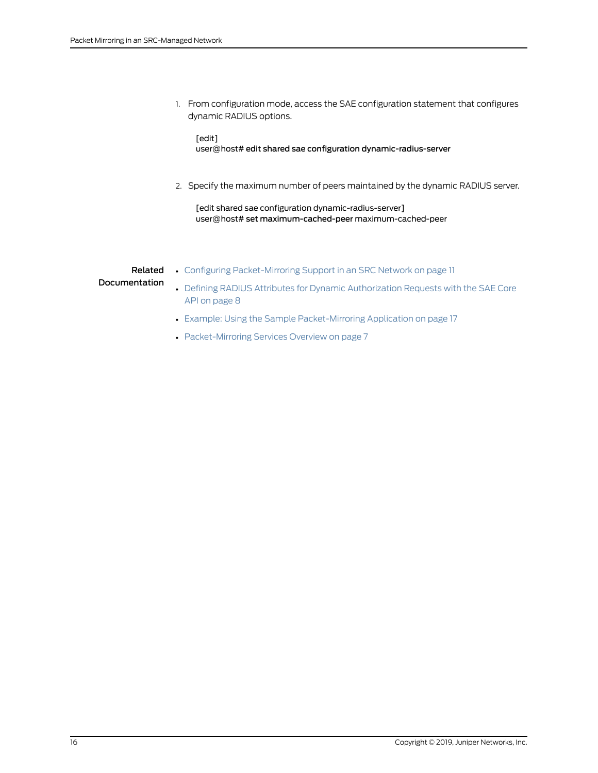1. From configuration mode, access the SAE configuration statement that configures dynamic RADIUS options.

[edit] user@host# edit shared sae configuration dynamic-radius-server

2. Specify the maximum number of peers maintained by the dynamic RADIUS server.

[edit shared sae configuration dynamic-radius-server] user@host# set maximum-cached-peer maximum-cached-peer

Related • Configuring [Packet-Mirroring](#page-22-1) Support in an SRC Network on page 11

Documentation

- Defining RADIUS Attributes for Dynamic [Authorization](#page-19-0) Requests with the SAE Core API on [page](#page-19-0) 8
- Example: Using the Sample [Packet-Mirroring](#page-28-1) Application on page 17
- [Packet-Mirroring](#page-18-1) Services Overview on page 7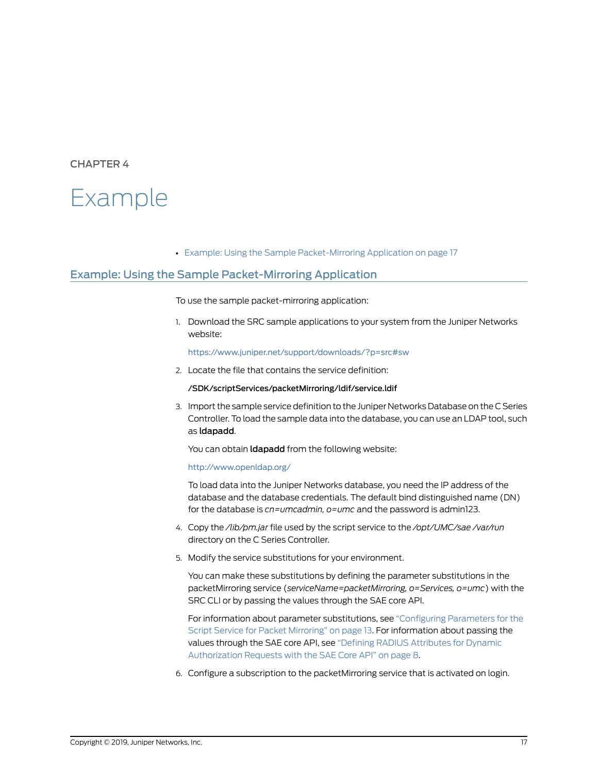## <span id="page-28-0"></span>CHAPTER 4

## Example

• Example: Using the Sample [Packet-Mirroring](#page-28-1) Application on [page](#page-28-1) 17

### <span id="page-28-1"></span>Example: Using the Sample Packet-Mirroring Application

To use the sample packet-mirroring application:

1. Download the SRC sample applications to your system from the Juniper Networks website:

<https://www.juniper.net/support/downloads/?p=src#sw>

2. Locate the file that contains the service definition:

#### /SDK/scriptServices/packetMirroring/ldif/service.ldif

3. Import the sample service definition to the Juniper Networks Database on the C Series Controller. To load the sample data into the database, you can use an LDAP tool, such as ldapadd.

You can obtain **Idapadd** from the following website:

#### <http://www.openldap.org/>

To load data into the Juniper Networks database, you need the IP address of the database and the database credentials. The default bind distinguished name (DN) for the database is *cn=umcadmin, o=umc* and the password is admin123.

- 4. Copy the */lib/pm.jar* file used by the script service to the */opt/UMC/sae /var/run* directory on the C Series Controller.
- 5. Modify the service substitutions for your environment.

You can make these substitutions by defining the parameter substitutions in the packetMirroring service (*serviceName=packetMirroring, o=Services, o=umc*) with the SRC CLI or by passing the values through the SAE core API.

For information about parameter substitutions, see ["Configuring](#page-24-0) Parameters for the Script Service for Packet [Mirroring"](#page-24-0) on page 13. For information about passing the values through the SAE core API, see "Defining RADIUS [Attributes](#page-19-0) for Dynamic [Authorization](#page-19-0) Requests with the SAE Core API" on page 8.

6. Configure a subscription to the packetMirroring service that is activated on login.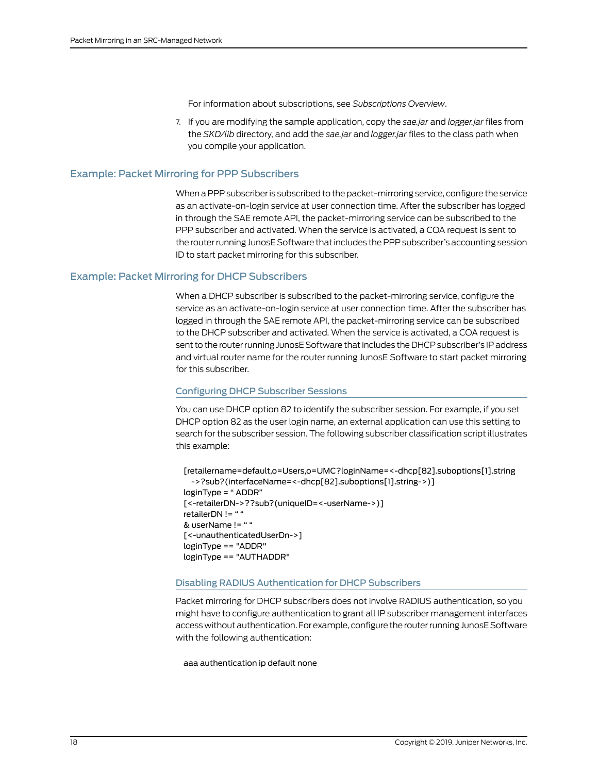For information about subscriptions, see *Subscriptions Overview*.

7. If you are modifying the sample application, copy the *sae.jar* and *logger.jar* files from the *SKD/lib* directory, and add the *sae.jar* and *logger.jar* files to the class path when you compile your application.

#### <span id="page-29-0"></span>Example: Packet Mirroring for PPP Subscribers

When a PPP subscriber is subscribed to the packet-mirroring service, configure the service as an activate-on-login service at user connection time. After the subscriber has logged in through the SAE remote API, the packet-mirroring service can be subscribed to the PPP subscriber and activated. When the service is activated, a COA request is sent to the router running JunosE Software that includes the PPP subscriber's accounting session ID to start packet mirroring for this subscriber.

#### <span id="page-29-1"></span>Example: Packet Mirroring for DHCP Subscribers

When a DHCP subscriber is subscribed to the packet-mirroring service, configure the service as an activate-on-login service at user connection time. After the subscriber has logged in through the SAE remote API, the packet-mirroring service can be subscribed to the DHCP subscriber and activated. When the service is activated, a COA request is sent to the router running JunosE Software that includes the DHCP subscriber's IP address and virtual router name for the router running JunosE Software to start packet mirroring for this subscriber.

#### <span id="page-29-2"></span>Configuring DHCP Subscriber Sessions

You can use DHCP option 82 to identify the subscriber session. For example, if you set DHCP option 82 as the user login name, an external application can use this setting to search for the subscriber session. The following subscriber classification script illustrates this example:

<span id="page-29-3"></span>[retailername=default,o=Users,o=UMC?loginName=<-dhcp[82].suboptions[1].string ->?sub?(interfaceName=<-dhcp[82].suboptions[1].string->)] loginType = " ADDR" [<-retailerDN->??sub?(uniqueID=<-userName->)] retailerDN != " " & userName != " " [<-unauthenticatedUserDn->] loginType == "ADDR" loginType == "AUTHADDR"

#### Disabling RADIUS Authentication for DHCP Subscribers

Packet mirroring for DHCP subscribers does not involve RADIUS authentication, so you might have to configure authentication to grant all IP subscriber management interfaces access without authentication. For example, configure the routerrunning JunosE Software with the following authentication:

aaa authentication ip default none